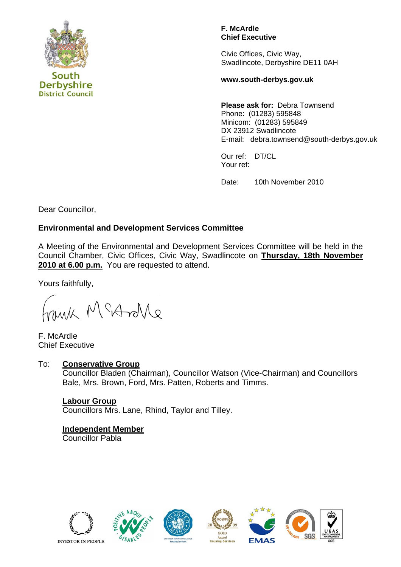

#### **F. McArdle Chief Executive**

Civic Offices, Civic Way, Swadlincote, Derbyshire DE11 0AH

**www.south-derbys.gov.uk** 

**Please ask for:** Debra Townsend Phone: (01283) 595848 Minicom: (01283) 595849 DX 23912 Swadlincote E-mail: debra.townsend@south-derbys.gov.uk

Our ref: DT/CL Your ref:

Date: 10th November 2010

Dear Councillor,

## **Environmental and Development Services Committee**

A Meeting of the Environmental and Development Services Committee will be held in the Council Chamber, Civic Offices, Civic Way, Swadlincote on **Thursday, 18th November 2010 at 6.00 p.m.** You are requested to attend.

Yours faithfully,

Morton Messing

F. McArdle Chief Executive

## To: **Conservative Group**

Councillor Bladen (Chairman), Councillor Watson (Vice-Chairman) and Councillors Bale, Mrs. Brown, Ford, Mrs. Patten, Roberts and Timms.

## **Labour Group**

Councillors Mrs. Lane, Rhind, Taylor and Tilley.

## **Independent Member**

Councillor Pabla